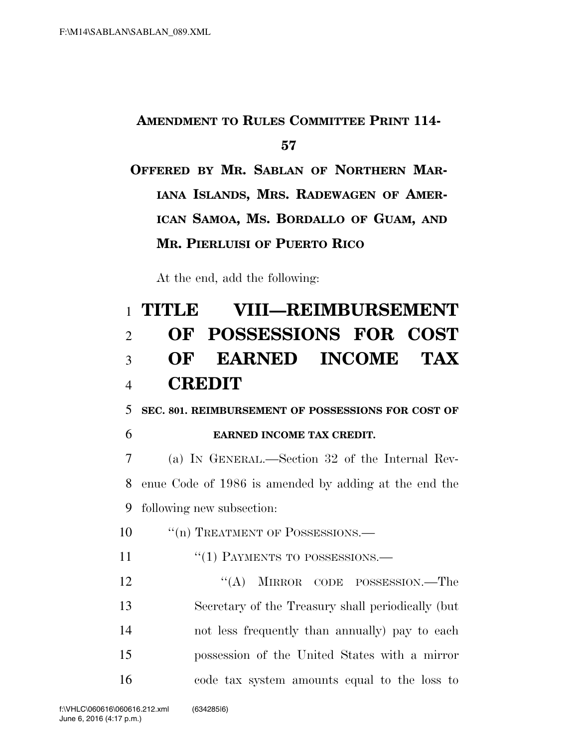## **AMENDMENT TO RULES COMMITTEE PRINT 114- 57**

```
OFFERED BY MR. SABLAN OF NORTHERN MAR-
IANA ISLANDS, MRS. RADEWAGEN OF AMER-
ICAN SAMOA, MS. BORDALLO OF GUAM, AND
MR. PIERLUISI OF PUERTO RICO
```
At the end, add the following:

## 1 **TITLE VIII—REIMBURSEMENT**  2 **OF POSSESSIONS FOR COST**  3 **OF EARNED INCOME TAX**  4 **CREDIT**

5 **SEC. 801. REIMBURSEMENT OF POSSESSIONS FOR COST OF** 

- 
- 6 **EARNED INCOME TAX CREDIT.**

7 (a) IN GENERAL.—Section 32 of the Internal Rev-8 enue Code of 1986 is amended by adding at the end the 9 following new subsection:

- 10 <sup>"</sup>(n) TREATMENT OF POSSESSIONS.
- 11 "(1) PAYMENTS TO POSSESSIONS.—

12 "(A) MIRROR CODE POSSESSION.—The Secretary of the Treasury shall periodically (but not less frequently than annually) pay to each possession of the United States with a mirror code tax system amounts equal to the loss to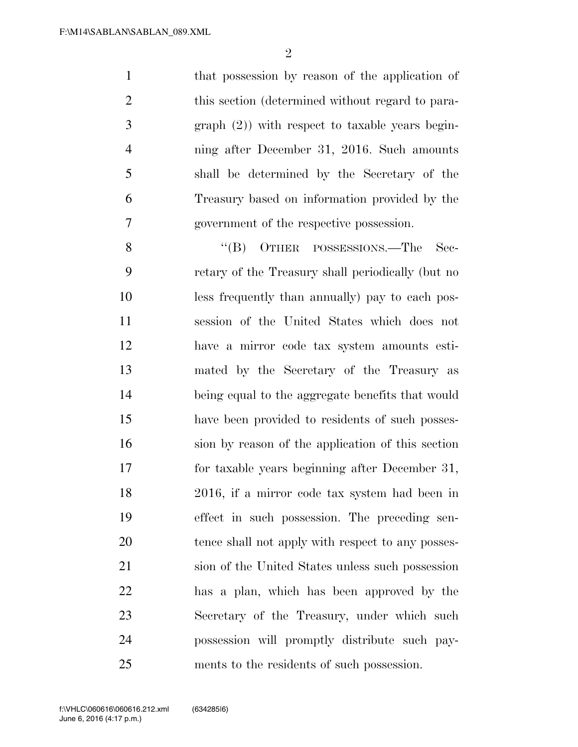$\mathfrak{D}$ 

1 that possession by reason of the application of this section (determined without regard to para- graph (2)) with respect to taxable years begin- ning after December 31, 2016. Such amounts shall be determined by the Secretary of the Treasury based on information provided by the government of the respective possession.

8 "(B) OTHER POSSESSIONS.—The Sec- retary of the Treasury shall periodically (but no less frequently than annually) pay to each pos- session of the United States which does not have a mirror code tax system amounts esti- mated by the Secretary of the Treasury as being equal to the aggregate benefits that would have been provided to residents of such posses- sion by reason of the application of this section for taxable years beginning after December 31, 2016, if a mirror code tax system had been in effect in such possession. The preceding sen- tence shall not apply with respect to any posses- sion of the United States unless such possession has a plan, which has been approved by the Secretary of the Treasury, under which such possession will promptly distribute such pay-ments to the residents of such possession.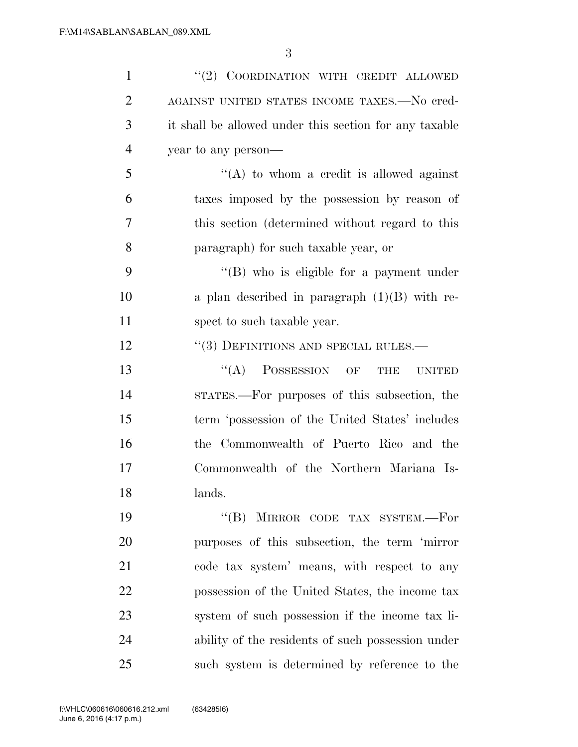| $\mathbf{1}$   | "(2) COORDINATION WITH CREDIT ALLOWED                     |
|----------------|-----------------------------------------------------------|
| $\overline{2}$ | AGAINST UNITED STATES INCOME TAXES.-No cred-              |
| 3              | it shall be allowed under this section for any taxable    |
| $\overline{4}$ | year to any person—                                       |
| 5              | "(A) to whom a credit is allowed against                  |
| 6              | taxes imposed by the possession by reason of              |
| 7              | this section (determined without regard to this           |
| 8              | paragraph) for such taxable year, or                      |
| 9              | "(B) who is eligible for a payment under                  |
| 10             | a plan described in paragraph $(1)(B)$ with re-           |
| 11             | spect to such taxable year.                               |
| 12             | $``(3)$ DEFINITIONS AND SPECIAL RULES.—                   |
| 13             | $\lq\lq$ (A) POSSESSION OF<br><b>THE</b><br><b>UNITED</b> |
| 14             | STATES.—For purposes of this subsection, the              |
| 15             | term 'possession of the United States' includes           |
| 16             | the Commonwealth of Puerto Rico and the                   |
| 17             | Commonwealth of the Northern Mariana Is-                  |
| 18             | lands.                                                    |
| 19             | MIRROR CODE TAX SYSTEM.-For<br>$\lq\lq (B)$               |
| 20             | purposes of this subsection, the term 'mirror             |
| 21             | code tax system' means, with respect to any               |
| 22             | possession of the United States, the income tax           |
| 23             | system of such possession if the income tax li-           |
| 24             | ability of the residents of such possession under         |
| 25             | such system is determined by reference to the             |